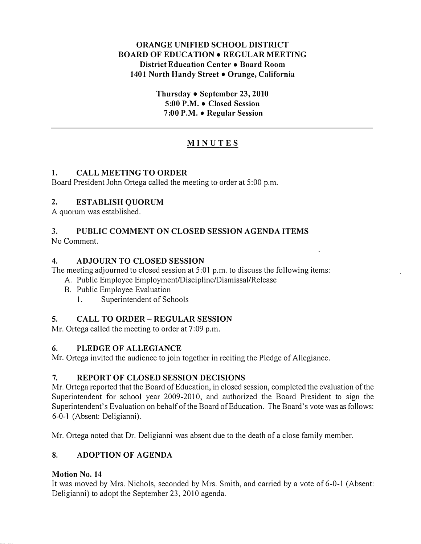#### ORANGE UNIFIED SCHOOL DISTRICT BOARD OF EDUCATION • REGULAR MEETING District Education Center • Board Room 1401 North Handy Street • Orange, California

Thursday  $\bullet$  September 23, 2010 5:00 P.M. • Closed Session 7:00 P.M. • Regular Session

# MINUTES

# I. CALL MEETING TO ORDER

Board President John Ortega called the meeting to order at 5:00 p.m.

# 2. ESTABLISH QUORUM

A quorum was established.

# 3. PUBLIC COMMENT ON CLOSED SESSION AGENDA ITEMS

No Comment.

# 4. ADJOURN TO CLOSED SESSION

The meeting adjourned to closed session at 5:01 p.m. to discuss the following items:

A. Public Employee Employment/Discipline/Dismissal/Release

- B. Public Employee Evaluation
	- 1. Superintendent of Schools

# 5. CALL TO ORDER- REGULAR SESSION

Mr. Ortega called the meeting to order at 7:09 p.m.

# 6. PLEDGE OF ALLEGIANCE

Mr. Ortega invited the audience to join together in reciting the Pledge of Allegiance.

# 7. REPORT OF CLOSED SESSION DECISIONS

Mr. Ortega reported that the Board of Education, in closed session, completed the evaluation of the Superintendent for school year 2009-2010, and authorized the Board President to sign the Superintendent's Evaluation on behalf of the Board of Education. The Board's vote was as follows: 6-0-1 (Absent: Deligianni).

Mr. Ortega noted that Dr. Deligianni was absent due to the death of a close family member.

# 8. ADOPTION OF AGENDA

# Motion No. 14

It was moved by Mrs. Nichols, seconded by Mrs. Smith, and carried by a vote of 6-0-1 (Absent: Deligianni) to adopt the September 23, 2010 agenda.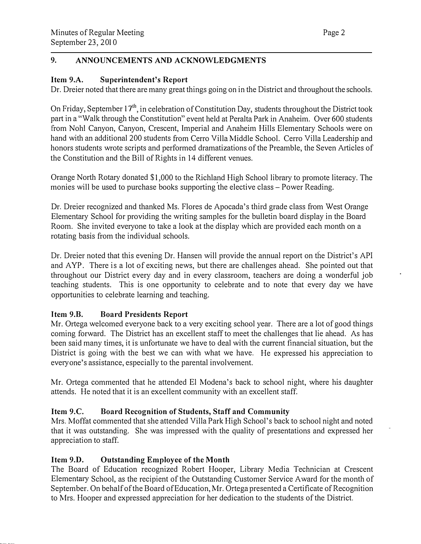# 9. ANNOUNCEMENTS AND ACKNOWLEDGMENTS

### Item 9.A. Superintendent's Report

Dr. Dreier noted that there are many great things going on in the District and throughout the schools.

On Friday, September 17<sup>th</sup>, in celebration of Constitution Day, students throughout the District took part in a "Walk through the Constitution" event held at Peralta Park in Anaheim. Over 600 students from Noh! Canyon, Canyon, Crescent, Imperial and Anaheim Hills Elementary Schools were on hand with an additional 200 students from Cerro Villa Middle School. Cerro Villa Leadership and honors students wrote scripts and performed dramatizations of the Preamble, the Seven Articles of the Constitution and the Bill of Rights in 14 different venues.

Orange North Rotary donated \$1,000 to the Richland High School library to promote literacy. The monies will be used to purchase books supporting the elective class- Power Reading.

Dr. Dreier recognized and thanked Ms. Flores de Apocada's third grade class from West Orange Elementary School for providing the writing samples for the bulletin board display in the Board Room. She invited everyone to take a look at the display which are provided each month on a rotating basis from the individual schools.

Dr. Dreier noted that this evening Dr. Hansen will provide the annual report on the District's API and AYP. There is a lot of exciting news, but there are challenges ahead. She pointed out that throughout our District every day and in every classroom, teachers are doing a wonderful job teaching students. This is one opportunity to celebrate and to note that every day we have opportunities to celebrate learning and teaching.

#### Item 9.B. Board Presidents Report

Mr. Ortega welcomed everyone back to a very exciting school year. There are a lot of good things coming forward. The District has an excellent staff to meet the challenges that lie ahead. As has been said many times, it is unfortunate we have to deal with the current financial situation, but the District is going with the best we can with what we have. He expressed his appreciation to everyone's assistance, especially to the parental involvement.

Mr. Ortega commented that he attended El Modena's back to school night, where his daughter attends. He noted that it is an excellent community with an excellent staff.

#### Item 9.C. Board Recognition of Students, Staff and Community

Mrs. Moffat commented that she attended Villa Park High School's back to school night and noted that it was outstanding. She was impressed with the quality of presentations and expressed her appreciation to staff.

#### Item 9.D. Outstanding Employee of the Month

The Board of Education recognized Robert Hooper, Library Media Technician at Crescent Elementary School, as the recipient of the Outstanding Customer Service Award for the month of September. On behalf of the Board of Education, Mr. Ortega presented a Certificate of Recognition to Mrs. Hooper and expressed appreciation for her dedication to the students of the District.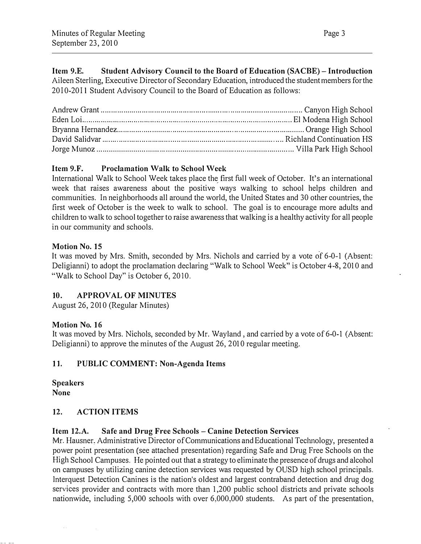Item 9.E. Student Advisory Council to the Board of Education (SACBE)- Introduction Aileen Sterling, Executive Director of Secondary Education, introduced the student members for the 2010-2011 Student Advisory Council to the Board of Education as follows:

# Item 9.F. Proclamation Walk to School Week

International Walk to School Week takes place the first full week of October. It's an international week that raises awareness about the positive ways walking to school helps children and communities. In neighborhoods all around the world, the United States and 30 other countries, the first week of October is the week to walk to school. The goal is to encourage more adults and children to walk to school together to raise awareness that walking is a healthy activity for all people in our community and schools.

# Motion No. 15

It was moved by Mrs. Smith, seconded by Mrs. Nichols and carried by a vote of 6-0-1 (Absent: Deligianni) to adopt the proclamation declaring "Walk to School Week" is October 4-8, 2010 and "Walk to School Day" is October 6, 2010.

# 10. APPROVAL OF MINUTES

August 26,2010 (Regular Minutes)

#### Motion No. 16

It was moved by Mrs. Nichols, seconded by Mr. Wayland, and carried by a vote of 6-0-1 (Absent: Deligianni) to approve the minutes of the August 26,2010 regular meeting.

# 11. PUBLIC COMMENT: Non-Agenda Items

Speakers None

# 12. ACTION ITEMS

# Item 12.A. Safe and Drug Free Schools- Canine Detection Services

Mr. Hausner, Administrative Director of Communications and Educational Technology, presented a power point presentation (see attached presentation) regarding Safe and Drug Free Schools on the High School Campuses. He pointed out that a strategy to eliminate the presence of drugs and alcohol on campuses by utilizing canine detection services was requested by OUSD high school principals. lnterquest Detection Canines is the nation's oldest and largest contraband detection and drug dog services provider and contracts with more than 1,200 public school districts and private schools nationwide, including 5,000 schools with over 6,000,000 students. As part of the presentation,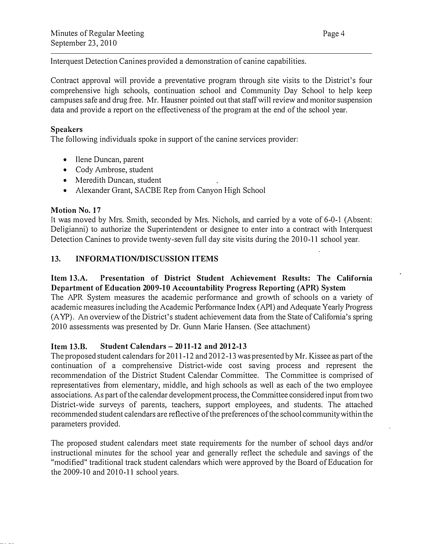Interquest Detection Canines provided a demonstration of canine capabilities.

Contract approval will provide a preventative program through site visits to the District's four comprehensive high schools, continuation school and Community Day School to help keep campuses safe and drug free. Mr. Hausner pointed out that staff will review and monitor suspension data and provide a report on the effectiveness of the program at the end of the school year.

#### Speakers

The following individuals spoke in support of the canine services provider:

- Ilene Duncan, parent
- Cody Ambrose, student
- Meredith Duncan, student
- Alexander Grant, SACBE Rep from Canyon High School

#### Motion No. 17

It was moved by Mrs. Smith, seconded by Mrs. Nichols, and carried by a vote of 6-0-1 (Absent: Deligianni) to authorize the Superintendent or designee to enter into a contract with Interquest Detection Canines to provide twenty-seven full day site visits during the 2010-11 school year.

#### 13. INFORMATION/DISCUSSION ITEMS

Item 13.A. Presentation of District Student Achievement Results: The California Department of Education 2009-10 Accountability Progress Reporting (APR) System The APR System measures the academic performance and growth of schools on a variety of academic measures including the Academic Performance Index (API) and Adequate Yearly Progress (A YP). An overview of the District's student achievement data from the State of California's spring 2010 assessments was presented by Dr. Gunn Marie Hansen. (See attachment)

#### Item 13.B. Student Calendars- 2011-12 and 2012-13

The proposed student calendars for 2011-12 and 2012-13 was presented by Mr. Kissee as part of the continuation of a comprehensive District-wide cost saving process and represent the recommendation of the District Student Calendar Committee. The Committee is comprised of representatives from elementary, middle, and high schools as well as each of the two employee associations. As part of the calendar development process, the Committee considered input from two District-wide surveys of parents, teachers, support employees, and students. The attached recommended student calendars are reflective of the preferences of the school community within the parameters provided.

The proposed student calendars meet state requirements for the number of school days and/or instructional minutes for the school year and generally reflect the schedule and savings of the "modified" traditional track student calendars which were approved by the Board of Education for the  $2009-10$  and  $2010-11$  school years.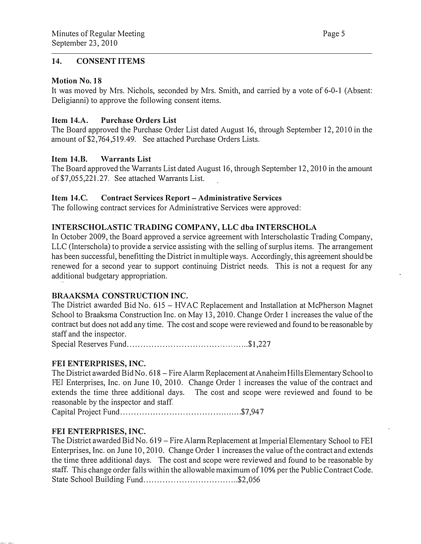#### 14. CONSENT ITEMS

#### Motion No. 18

It was moved by Mrs. Nichols, seconded by Mrs. Smith, and carried by a vote of 6-0-1 (Absent: Deligianni) to approve the following consent items.

#### Item 14.A. Purchase Orders List

The Board approved the Purchase Order List dated August 16, through September 12, 2010 in the amount of \$2,764,519.49. See attached Purchase Orders Lists.

#### Item 14.B. Warrants List

The Board approved the Warrants List dated August 16, through September 12, 2010 in the amount of \$7,055,221.27. See attached Warrants List.

#### Item 14.C. Contract Services Report- Administrative Services

The following contract services for Administrative Services were approved:

# INTERSCHOLASTIC TRADING COMPANY, LLC dba INTERSCHOLA

In October 2009, the Board approved a service agreement with Interscholastic Trading Company, LLC (Interschola) to provide a service assisting with the selling of surplus items. The arrangement has been successful, benefitting the District in multiple ways. Accordingly, this agreement should be renewed for a second year to support continuing District needs. This is not a request for any additional budgetary appropriation.

#### BRAAKSMA CONSTRUCTION INC.

The District awarded Bid No. 615 - HVAC Replacement and Installation at McPherson Magnet School to Braaksma Construction Inc. on May 13, 2010. Change Order I increases the value of the contract but does not add any time. The cost and scope were reviewed and found to be reasonable by staff and the inspector.

Special Reserves Fund ................ ............... .......... . . .. \$! ,227

#### FEI ENTERPRISES, INC.

The District awarded Bid No. 618- Fire Alarm Replacement at Anaheim Hills Elementary School to FEI Enterprises, Inc. on June 10, 2010. Change Order 1 increases the value of the contract and extends the time three additional days. The cost and scope were reviewed and found to be reasonable by the inspector and staff.

Capital Project Fund ............................................. \$7,947

#### FEI ENTERPRISES, INC.

The District awarded Bid No. 619 – Fire Alarm Replacement at Imperial Elementary School to FEI Enterprises, Inc. on June 10, 2010. Change Order 1 increases the value of the contract and extends the time three additional days. The cost and scope were reviewed and found to be reasonable by staff. This change order falls within the allowable maximum of 10% per the Public Contract Code. State School Building Fund ................................... \$2,056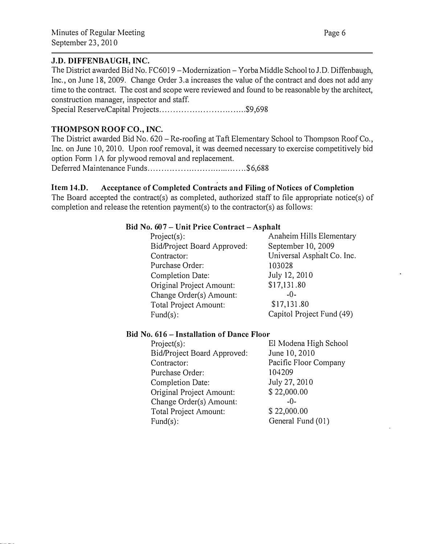#### J.D. DIFFENBAUGH, INC.

The District awarded Bid No. FC6019 - Modernization - Yorba Middle School to J.D. Diffenbaugh, Inc., on June 18, 2009. Change Order 3.a increases the value of the contract and does not add any time to the contract. The cost and scope were reviewed and found to be reasonable by the architect, construction manager, inspector and staff.

Special Reserve/Capital Projects...................................\$9,698

# THOMPSON ROOF CO., INC.

The District awarded Bid No. 620 – Re-roofing at Taft Elementary School to Thompson Roof Co., Inc. on June 10, 2010. Upon roof removal, it was deemed necessary to exercise competitively bid option Form lA for plywood removal and replacement.

Deferred Maintenance Funds .................. ................... \$6,688

# Item 14.D. Acceptance of Completed Contracts and Filing of Notices of Completion

The Board accepted the contract(s) as completed, authorized staff to file appropriate notice(s) of completion and release the retention payment(s) to the contractor(s) as follows:

#### Bid No. 607- Unit Price Contract- Asphalt

Project(s): Anaheim Hills Elementary Bid/Project Board Approved: September 10, 2009 Contractor: Universal Asphalt Co. Inc. Purchase Order: 103028 Completion Date: Original Project Amount: Change Order(s) Amount: Total Project Amount: Fund(s):

July 12, 2010 \$17,131.80 -0- \$17,131.80 Capitol Project Fund (49)

#### Bid No. 616- Installation of Dance Floor

| $Project(s)$ :              | El Modena High School |
|-----------------------------|-----------------------|
| Bid/Project Board Approved: | June 10, 2010         |
| Contractor:                 | Pacific Floor Company |
| Purchase Order:             | 104209                |
| <b>Completion Date:</b>     | July 27, 2010         |
| Original Project Amount:    | \$22,000.00           |
| Change Order(s) Amount:     | $-0-$                 |
| Total Project Amount:       | \$22,000.00           |
| $Fund(s)$ :                 | General Fund (01)     |
|                             |                       |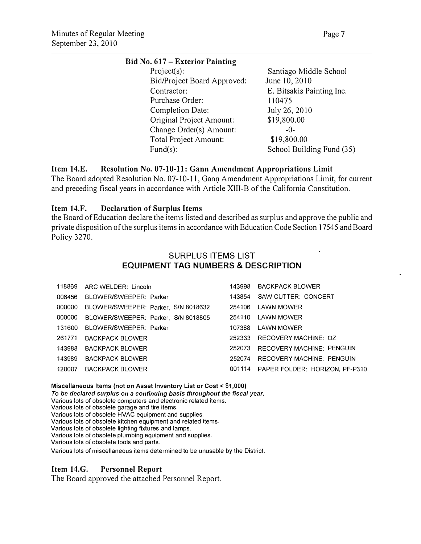#### Bid No. 617 – Exterior Painting

| $Project(s)$ :              | Santiago Middle School    |
|-----------------------------|---------------------------|
| Bid/Project Board Approved: | June 10, 2010             |
| Contractor:                 | E. Bitsakis Painting Inc. |
| Purchase Order:             | 110475                    |
| Completion Date:            | July 26, 2010             |
| Original Project Amount:    | \$19,800.00               |
| Change Order(s) Amount:     | $-()$ -                   |
| Total Project Amount:       | \$19,800.00               |
| $Fund(s)$ :                 | School Building Fund (35) |
|                             |                           |

#### Item 14.E. Resolution No. 07-10-11: Gann Amendment Appropriations Limit

The Board adopted Resolution No. 07-10-11, Gann Amendment Appropriations Limit, for current and preceding fiscal years in accordance with Article XIII-B of the California Constitution.

#### Item 14.F. Declaration of Surplus Items

the Board of Education declare the items listed and described as surplus and approve the public and private disposition of the surplus items in accordance with Education Code Section 17545 and Board Policy 3270.

#### SURPLUS ITEMS LIST EQUIPMENT TAG NUMBERS & DESCRIPTION

|        | 118869 ARC WELDER: Lincoln          | 143998 | <b>BACKPACK BLOWER</b>         |  |
|--------|-------------------------------------|--------|--------------------------------|--|
| 006456 | BLOWER/SWEEPER: Parker              | 143854 | SAW CUTTER: CONCERT            |  |
| 000000 | BLOWER/SWEEPER: Parker, S/N 8018632 | 254106 | LAWN MOWER                     |  |
| 000000 | BLOWER/SWEEPER: Parker, S/N 8018805 | 254110 | LAWN MOWER                     |  |
| 131600 | BLOWER/SWEEPER: Parker              | 107388 | LAWN MOWER                     |  |
| 261771 | BACKPACK BLOWER                     | 252333 | RECOVERY MACHINE: OZ           |  |
| 143988 | BACKPACK BLOWER                     | 252073 | RECOVERY MACHINE: PENGUIN      |  |
| 143989 | <b>BACKPACK BLOWER</b>              | 252074 | RECOVERY MACHINE: PENGUIN      |  |
| 120007 | <b>BACKPACK BLOWER</b>              | 001114 | PAPER FOLDER: HORIZON, PF-P310 |  |

Miscellaneous Items (not on Asset Inventory List or Cost< \$1,000)

To be declared surplus on a continuing basis throughout the fiscal year.

Various lots of obsolete computers and electronic related items.

Various lots of obsolete garage and tire items.

Various lots of obsolete HVAC equipment and supplies.

Various lots of obsolete kitchen equipment and related items.

Various lots of obsolete lighting fixtures and lamps.

Various lots of obsolete plumbing equipment and supplies.

Various lots of obsolete tools and parts.

Various lots of miscellaneous items determined to be unusable by the District.

#### Item 14.G. Personnel Report

The Board approved the attached Personnel Report.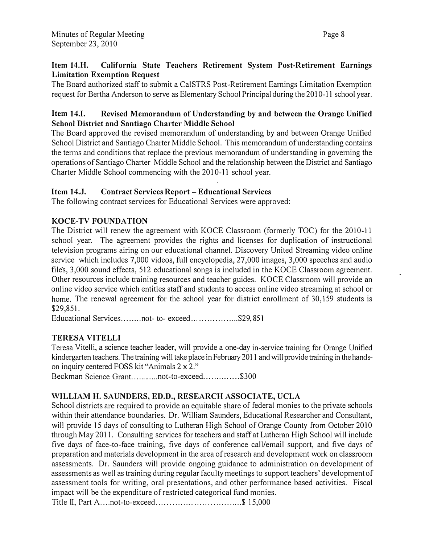# Item 14.H. California State Teachers Retirement System Post-Retirement Earnings Limitation Exemption Request

The Board authorized staff to submit a Ca!STRS Post-Retirement Earnings Limitation Exemption request for Bertha Anderson to serve as Elementary School Principal during the 2010-11 school year.

# Item 14.1. Revised Memorandum of Understanding by and between the Orange Unified School District and Santiago Charter Middle School

The Board approved the revised memorandum of understanding by and between Orange Unified School District and Santiago Charter Middle School. This memorandum of understanding contains the terms and conditions that replace the previous memorandum of understanding in governing the operations of Santiago Charter Middle School and the relationship between the District and Santiago Charter Middle School commencing with the 2010-11 school year.

# Item 14.J. Contract Services Report- Educational Services

The following contract services for Educational Services were approved:

# KOCE-TV FOUNDATION

The District will renew the agreement with KOCE Classroom (formerly TOC) for the 2010-1 1 school year. The agreement provides the rights and licenses for duplication of instructional television programs airing on our educational channel. Discovery United Streaming video online service which includes 7,000 videos, full encyclopedia, 27,000 images, 3,000 speeches and audio files, 3,000 sound effects, 512 educational songs is included in the KOCE Classroom agreement. Other resources include training resources and teacher guides. KOCE Classroom will provide an online video service which entitles staff and students to access online video streaming at school or home. The renewal agreement for the school year for district enrollment of 30,159 students is \$29,851.

Educational Services........not-to-exceed.....................\$29,851

# TERESA VITELLI

Teresa Vitelli, a science teacher leader, will provide a one-day in-service training for Orange Unified kindergarten teachers. The training will take place in February 2011 and will provide training in the handson inquiry centered FOSS kit "Animals 2 x 2." Beckman Science Grant............not-to-exceed...............\$300

# WILLIAM H. SAUNDERS, ED.D., RESEARCH ASSOCIATE, UCLA

School districts are required to provide an equitable share of federal monies to the private schools within their attendance boundaries. Dr. William Saunders, Educational Researcher and Consultant, will provide 15 days of consulting to Lutheran High School of Orange County from October 2010 through May 2011. Consulting services for teachers and staff at Lutheran High School will include five days of face-to-face training, five days of conference call/email support, and five days of preparation and materials development in the area of research and development work on classroom assessments. Dr. Saunders will provide ongoing guidance to administration on development of assessments as well as training during regular faculty meetings to support teachers' development of assessment tools for writing, oral presentations, and other performance based activities. Fiscal impact will be the expenditure of restricted categorical fund monies.

Title II, Part A .... not-to-exceed ................................ \$ 15,000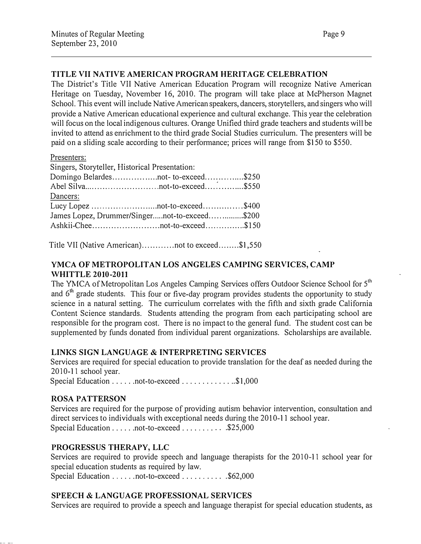#### TITLE VII NATIVE AMERICAN PROGRAM HERITAGE CELEBRATION

The District's Title VII Native American Education Program will recognize Native American Heritage on Tuesday, November 16, 2010. The program will take place at McPherson Magnet School. This event will include Native American speakers, dancers, storytellers, and singers who will provide a Native American educational experience and cultural exchange. This year the celebration will focus on the local indigenous cultures. Orange Unified third grade teachers and students will be invited to attend as enrichment to the third grade Social Studies curriculum. The presenters will be paid on a sliding scale according to their performance; prices will range from \$150 to \$550.

| esenters: |
|-----------|
|           |

| Singers, Storyteller, Historical Presentation: |  |
|------------------------------------------------|--|
| Domingo Belardestot-to-exceed\$250             |  |
|                                                |  |
| Dancers:                                       |  |
|                                                |  |
| James Lopez, Drummer/Singernot-to-exceed\$200  |  |
|                                                |  |
|                                                |  |

Title VII (Native American) ............ not to exceed ........ \$1,550

### YMCA OF METROPOLITAN LOS ANGELES CAMPING SERVICES, CAMP WHITTLE 2010-2011

The YMCA of Metropolitan Los Angeles Camping Services offers Outdoor Science School for 5<sup>th</sup> and  $6<sup>th</sup>$  grade students. This four or five-day program provides students the opportunity to study science in a natural setting. The curriculum correlates with the fifth and sixth grade California Content Science standards. Students attending the program from each participating school are responsible for the program cost. There is no impact to the general fund. The student cost can be supplemented by funds donated from individual parent organizations. Scholarships are available.

#### LINKS SIGN LANGUAGE & INTERPRETING SERVICES

Services are required for special education to provide translation for the deaf as needed during the 2010-11 school year.

Special Education . . . . . . not-to-exceed . . . . . . . . . . . . . \$1,000

#### ROSA PATTERSON

Services are required for the purpose of providing autism behavior intervention, consultation and direct services to individuals with exceptional needs during the 2010-11 school year. Special Education  $\dots \dots$  not-to-exceed  $\dots \dots \dots$  \$25,000

#### PROGRESSUS THERAPY, LLC

Services are required to provide speech and language therapists for the 2010-11 school year for special education students as required by law. Special Education . . . . . . not-to-exceed . . . . . . . . . . \$62,000

#### SPEECH & LANGUAGE PROFESSIONAL SERVICES

Services are required to provide a speech and language therapist for special education students, as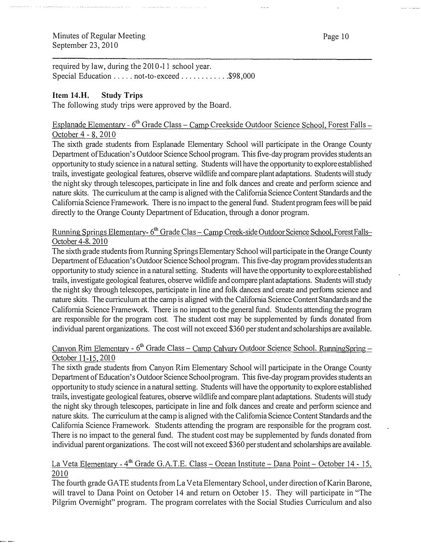required by law, during the 2010-11 school year. Special Education ..... not-to-exceed ..............\$98,000

#### Item 14.H. Study Trips

The following study trips were approved by the Board.

# Esplanade Elementary - 6<sup>th</sup> Grade Class – Camp Creekside Outdoor Science School, Forest Falls October 4 - 8, 2010

برزير

The sixth grade students from Esplanade Elementary School will participate in the Orange County Department of Education's Outdoor Science School program. This five-day program provides students an opportunity to study science in a natural setting. Students will have the opportunity to explore established trails, investigate geological features, observe wildlife and compare plant adaptations. Students will study the night sky through telescopes, participate in line and folk dances and create and perform science and nature skits. The curriculum at the camp is aligned with the California Science Content Standards and the Califomia Science Framework. There is no impact to the general fund. Student program fees will be paid directly to the Orange County Department of Education, through a donor program.

#### <u>Running Springs Elementary- 6<sup>th</sup> Grade Clas – Camp Creek-side Outdoor Science School, Forest Falls-</u> October 4-8, 2010

The sixth grade students from Running Springs Elementary School will participate in the Orange County Department of Education's Outdoor Science School program. This five-day program provides students an opportunity to study science in a natural setting. Students will have the opportunity to explore established trails, investigate geological features, observe wildlife and compare plant adaptations. Students will study the night sky through telescopes, participate in line and folk dances and create and perfonn science and nature skits. The curriculum at the camp is aligned with the California Science Content Standards and the Califomia Science Framework. There is no impact to the general fund. Students attending the program are responsible for the program cost. The student cost may be supplemented by funds donated from individual parent organizations. The cost will not exceed \$360 per student and scholarships are available.

# Canyon Rim Elementary - 6<sup>th</sup> Grade Class – Camp Calvary Outdoor Science School, RunningSpring – October 1 1- 15, 2010

The sixth grade students from Canyon Rim Elementary School will participate in the Orange County Department of Education's Outdoor Science School program. This five-day program provides students an opportunity to study science in a natural setting. Students will have the opportunity to explore established trails, investigate geological features, observe wildlife and compare plant adaptations. Students will study the night sky through telescopes, participate in line and folk dances and create and perform science and nature skits. The curriculum at the camp is aligned with the Califomia Science Content Standards and the Califomia Science Framework. Students attending the program are responsible for the program cost. There is no impact to the general fund. The student cost may be supplemented by funds donated from individual parent organizations. The cost will not exceed \$360 per student and scholarships are available.

#### La Veta Elementary - 4<sup>th</sup> Grade G.A.T.E. Class – Ocean Institute – Dana Point – October 14 - 15. 20 10

The fourth grade GA TE students from La Veta Elementary School, under direction of Karin Barone, will travel to Dana Point on October 14 and return on October 15. They will participate in "The Pilgrim Overnight" program. The program correlates with the Social Studies Curriculum and also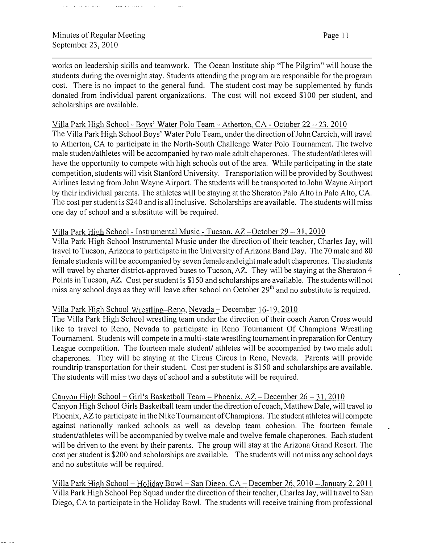works on leadership skills and teamwork. The Ocean Institute ship "The Pilgrim" will house the students during the overnight stay. Students attending the program are responsible for the program cost. There is no impact to the general fund. The student cost may be supplemented by funds donated from individual parent organizations. The cost will not exceed \$100 per student, and scholarships are available.

#### Villa Park High School - Boys' Water Polo Team - Atherton, CA - October 22 - 23, 2010

The Villa Park High School Boys' Water Polo Team, under the direction of John Carcich, will travel to Atherton, CA to participate in the North-South Challenge Water Polo Tournament. The twelve male student/athletes will be accompanied by two male adult chaperones. The student/athletes will have the opportunity to compete with high schools out of the area. While participating in the state competition, students will visit Stanford University. Transportation will be provided by Southwest Airlines leaving from John Wayne Airport. The students will be transported to John Wayne Airport by their individual parents. The athletes will be staying at the Sheraton Palo Alto in Palo Alto, CA. The cost per student is \$240 and is all inclusive. Scholarships are available. The students will miss one day of school and a substitute will be required.

#### Villa Park High School - Instrumental Music - Tucson, AZ - October 29 - 31, 2010

Villa Park High School Instrumental Music under the direction of their teacher, Charles Jay, will travel to Tucson, Arizona to participate in the University of Arizona Band Day. The 70 male and 80 female students will be accompanied by seven female and eight male adult chaperones. The students will travel by charter district-approved buses to Tucson, AZ. They will be staying at the Sheraton 4 Points in Tucson, AZ. Cost per student is \$150 and scholarships are available. The students will not miss any school days as they will leave after school on October 29<sup>th</sup> and no substitute is required.

#### Villa Park High School Wrestling-Reno, Nevada- December 16-19, 2010

The Villa Park High School wrestling team under the direction of their coach Aaron Cross would like to travel to Reno, Nevada to participate in Reno Tournament Of Champions Wrestling Tournament. Students will compete in a multi-state wrestling tournament in preparation for Century League competition. The fourteen male student/ athletes will be accompanied by two male adult chaperones. They will be staying at the Circus Circus in Reno, Nevada. Parents will provide roundtrip transportation for their student. Cost per student is \$150 and scholarships are available. The students will miss two days of school and a substitute will be required.

#### Canyon High School - Girl's Basketball Team - Phoenix,  $AZ$  - December  $26 - 31$ ,  $2010$

Canyon High School Girls Basketball team under the direction of coach, Matthew Dale, will travel to Phoenix, AZ to participate in the Nike Tournament of Champions. The student athletes will compete against nationally ranked schools as well as develop team cohesion. The fourteen female student/athletes will be accompanied by twelve male and twelve female chaperones. Each student will be driven to the event by their parents. The group will stay at the Arizona Grand Resort. The cost per student is \$200 and scholarships are available. The students will not miss any school days and no substitute will be required.

Villa Park High School - Holiday Bowl - San Diego, CA - December 26, 2010 - January 2, 2011 Villa Park High School Pep Squad under the direction of their teacher, Charles Jay, will travel to San Diego, CA to participate in the Holiday Bowl. The students will receive training from professional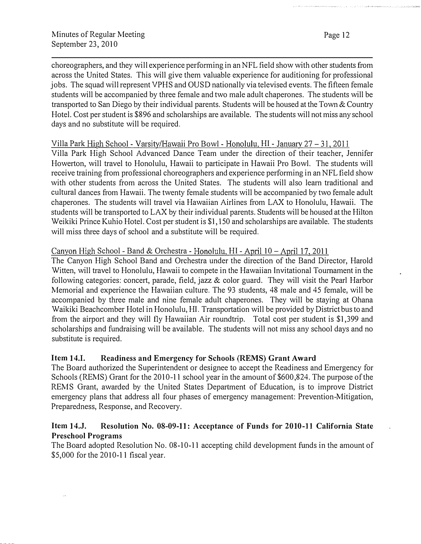Page 12

choreographers, and they will experience performing in an NFL field show with other students from across the United States. This will give them valuable experience for auditioning for professional jobs. The squad will represent VPHS and OUSD nationally via televised events. The fifteen female students will be accompanied by three female and two male adult chaperones. The students will be transported to San Diego by their individual parents. Students will be housed at the Town & Country Hotel. Cost per student is \$896 and scholarships are available. The students will not miss any school days and no substitute will be required.

Villa Park High School - Varsitv/Hawaii Pro Bowl - Honolulu, HI - January 27- 31,2011

Villa Park High School Advanced Dance Team under the direction of their teacher, Jennifer Howerton, will travel to Honolulu, Hawaii to participate in Hawaii Pro Bowl. The students will receive training from professional choreographers and experience performing in an NFL field show with other students from across the United States. The students will also learn traditional and cultural dances from Hawaii. The twenty female students will be accompanied by two female adult chaperones. The students will travel via Hawaiian Airlines from LAX to Honolulu, Hawaii. The students will be transported to LAX by their individual parents. Students will be housed at the Hilton Weikiki Prince Kuhio Hotel. Cost per student is \$1, !50 and scholarships are available. The students will miss three days of school and a substitute will be required.

# Canyon High School - Band & Orchestra - Honolulu, HI - April 10 - April 17, 2011

The Canyon High School Band and Orchestra under the direction of the Band Director, Harold Witten, will travel to Honolulu, Hawaii to compete in the Hawaiian Invitational Tournament in the following categories: concert, parade, field, jazz & color guard. They will visit the Pearl Harbor Memorial and experience the Hawaiian culture. The 93 students, 48 male and 45 female, will be accompanied by three male and nine female adult chaperones. They will be staying at Ohana Waikiki Beachcomber Hotel in Honolulu, HI. Transportation will be provided by District bus to and from the airport and they will fly Hawaiian Air roundtrip. Total cost per student is \$1,399 and scholarships and fundraising will be available. The students will not miss any school days and no substitute is required.

# Item 14.1. Readiness and Emergency for Schools (REMS) Grant Award

The Board authorized the Superintendent or designee to accept the Readiness and Emergency for Schools (REMS) Grant for the 2010-11 school year in the amount of \$600,824. The purpose of the REMS Grant, awarded by the United States Department of Education, is to improve District emergency plans that address all four phases of emergency management: Prevention-Mitigation, Preparedness, Response, and Recovery.

#### Item 14.J. Resolution No. 08-09-11: Acceptance of Funds for 2010-11 California State Preschool Programs

The Board adopted Resolution No. 08-10-11 accepting child development funds in the amount of \$5,000 for the 2010-11 fiscal year.